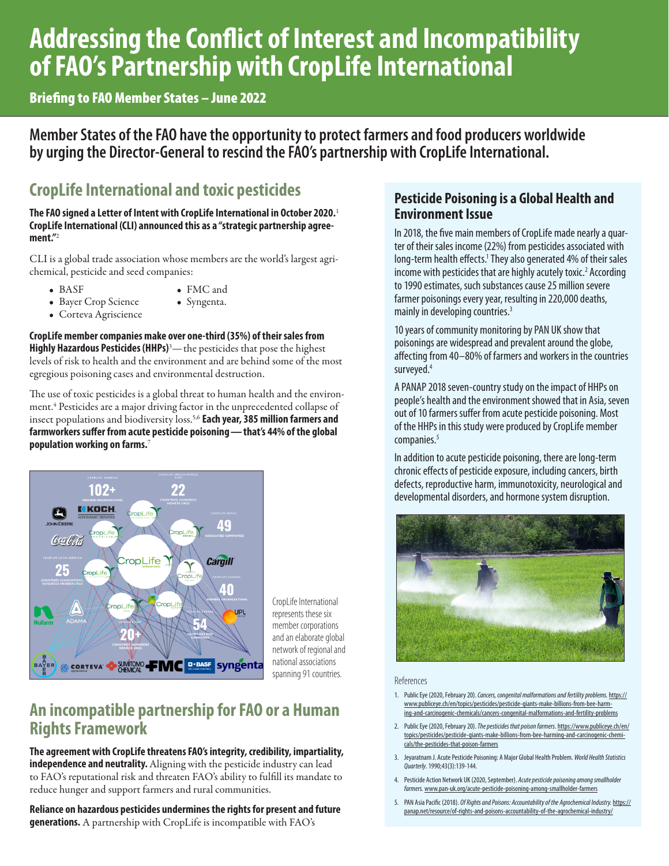# <span id="page-0-0"></span>**Addressing the Conflict of Interest and Incompatibility of FAO's Partnership with CropLife International**

Briefing to FAO Member States – June 2022

**Member States of the FAO have the opportunity to protect farmers and food producers worldwide by urging the Director-General to rescind the FAO's partnership with CropLife International.**

# **CropLife International and toxic pesticides**

**The FAO signed a Letter of Intent with CropLife International in October 2020.**[1](#page-3-0) **CropLife International (CLI) announced this as a "strategic partnership agreement."**[2](#page-3-0)

CLI is a global trade association whose members are the world's largest agrichemical, pesticide and seed companies:

• BASF

- FMC and
- Bayer Crop Science
- Syngenta.
- Corteva Agriscience
- **CropLife member companies make over one-third (35%) of their sales from**  Highly Hazardous Pesticides (HHPs)<sup>[3](#page-3-0)</sup>— the pesticides that pose the highest

levels of risk to health and the environment and are behind some of the most egregious poisoning cases and environmental destruction.

The use of toxic pesticides is a global threat to human health and the environment.[4](#page-3-0) Pesticides are a major driving factor in the unprecedented collapse of insect populations and biodiversity loss[.5,6](#page-3-0) **Each year, 385 million farmers and farmworkers suffer from acute pesticide poisoning — that's 44% of the global population working on farms.**[7](#page-3-0)



CropLife International represents these six member corporations and an elaborate global network of regional and national associations spanning 91 countries.

## **An incompatible partnership for FAO or a Human Rights Framework**

**The agreement with CropLife threatens FAO's integrity, credibility, impartiality, independence and neutrality.** Aligning with the pesticide industry can lead to FAO's reputational risk and threaten FAO's ability to fulfill its mandate to reduce hunger and support farmers and rural communities.

**Reliance on hazardous pesticides undermines the rights for present and future generations.** A partnership with CropLife is incompatible with FAO's

### **Pesticide Poisoning is a Global Health and Environment Issue**

In 2018, the five main members of CropLife made nearly a quarter of their sales income (22%) from pesticides associated with long-term health effects.<sup>1</sup> They also generated 4% of their sales income with pesticides that are highly acutely toxic.<sup>2</sup> According to 1990 estimates, such substances cause 25 million severe farmer poisonings every year, resulting in 220,000 deaths, mainly in developing countries.<sup>3</sup>

10 years of community monitoring by PAN UK show that poisonings are widespread and prevalent around the globe, affecting f[ro](http://www.pan-uk.org/acute-pesticide-poisoning-among-smallholder-farmers)m 40–80% of farmers and workers in the countries surveyed.4

A PANAP 2018 seven-country study on the impact of HHPs on people's health and the environment showed that in Asia, seven out of 10 farmers suffer from acute pesticide poisoning. Most of the HHPs in this study were produced by CropLife member companies.<sup>5</sup>

In addition to acute pesticide poisoning, there are long-term chronic effects of pesticide exposure, including cancers, birth defects, reproductive harm, immunotoxicity, neurological and developmental disorders, and hormone system disruption.



#### References

- 1. Public Eye (2020, February 20). *Cancers, congenital malformations and fertility problems.* [https://](https://www.publiceye.ch/en/topics/pesticides/pesticide-giants-make-billions-from-bee-harming-and-carcinogenic-chemicals/cancers-congenital-malformations-and-fertility-problems) [www.publiceye.ch/en/topics/pesticides/pesticide-giants-make-billions-from-bee-harm](https://www.publiceye.ch/en/topics/pesticides/pesticide-giants-make-billions-from-bee-harming-and-carcinogenic-chemicals/cancers-congenital-malformations-and-fertility-problems)[ing-and-carcinogenic-chemicals/cancers-congenital-malformations-and-fertility-problems](https://www.publiceye.ch/en/topics/pesticides/pesticide-giants-make-billions-from-bee-harming-and-carcinogenic-chemicals/cancers-congenital-malformations-and-fertility-problems)
- 2. Public Eye (2020, February 20). *The pesticides that poison farmers*. [https://www.publiceye.ch/en/](https://www.publiceye.ch/en/topics/pesticides/pesticide-giants-make-billions-from-bee-harming-and-carcinogenic-chemicals/the-pesticides-that-poison-farmers) [topics/pesticides/pesticide-giants-make-billions-from-bee-harming-and-carcinogenic-chemi](https://www.publiceye.ch/en/topics/pesticides/pesticide-giants-make-billions-from-bee-harming-and-carcinogenic-chemicals/the-pesticides-that-poison-farmers)[cals/the-pesticides-that-poison-farmers](https://www.publiceye.ch/en/topics/pesticides/pesticide-giants-make-billions-from-bee-harming-and-carcinogenic-chemicals/the-pesticides-that-poison-farmers)
- 3. Jeyaratnam J. Acute Pesticide Poisoning: A Major Global Health Problem. *World Health Statistics Quarterly*. 1990;43(3):139-144.
- 4. Pesticide Action Network UK (2020, September). *Acute pesticide poisoning among smallholder farmers.* [www.pan-uk.org/acute-pesticide-poisoning-among-smallholder-farmers](http://www.pan-uk.org/acute-pesticide-poisoning-among-smallholder-farmers)
- 5. PAN Asia Pacific (2018). *Of Rights and Poisons: Accountability of the Agrochemical Industry.* [https://](https://panap.net/resource/of-rights-and-poisons-accountability-of-the-agrochemical-industry/) [panap.net/resource/of-rights-and-poisons-accountability-of-the-agrochemical-industry/](https://panap.net/resource/of-rights-and-poisons-accountability-of-the-agrochemical-industry/)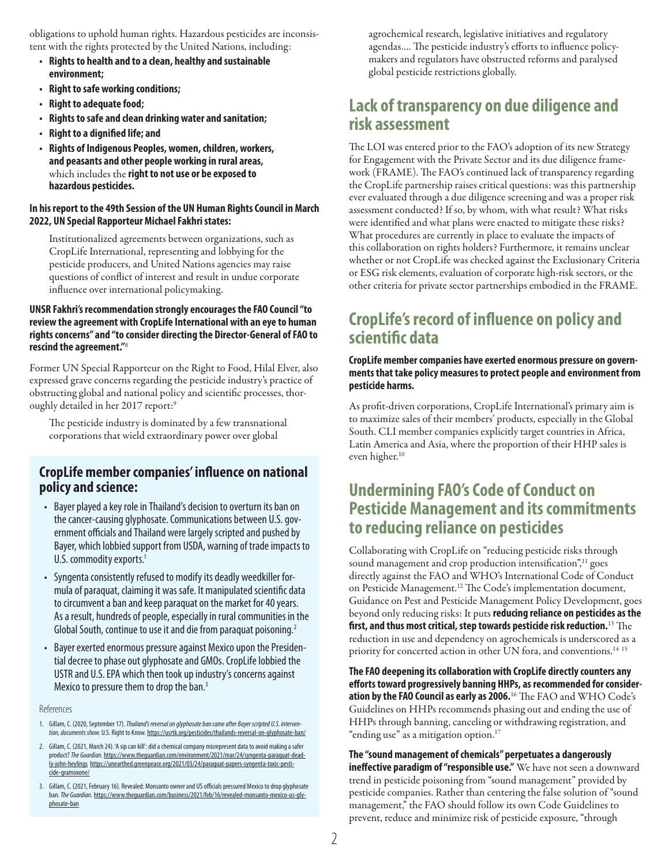<span id="page-1-0"></span>obligations to uphold human rights. Hazardous pesticides are inconsistent with the rights protected by the United Nations, including:

- **• Rights to health and to a clean, healthy and sustainable environment;**
- **• Right to safe working conditions;**
- **• Right to adequate food;**
- **• Rights to safe and clean drinking water and sanitation;**
- **• Right to a dignified life; and**
- **• Rights of Indigenous Peoples, women, children, workers, and peasants and other people working in rural areas,**  which includes the **right to not use or be exposed to hazardous pesticides.**

#### **In his report to the 49th Session of the UN Human Rights Council in March 2022, UN Special Rapporteur Michael Fakhri states:**

Institutionalized agreements between organizations, such as CropLife International, representing and lobbying for the pesticide producers, and United Nations agencies may raise questions of conflict of interest and result in undue corporate influence over international policymaking.

#### **UNSR Fakhri's recommendation strongly encourages the FAO Council "to review the agreement with CropLife International with an eye to human rights concerns" and "to consider directing the Director-General of FAO to rescind the agreement."**[8](#page-3-0)

Former UN Special Rapporteur on the Right to Food, Hilal Elver, also expressed grave concerns regarding the pesticide industry's practice of obstructing global and national policy and scientific processes, thoroughly detailed in her 2017 report:[9](#page-3-0)

The pesticide industry is dominated by a few transnational corporations that wield extraordinary power over global

#### **CropLife member companies' influence on national policy and science:**

- Bayer played a key role in Thailand's decision to overturn its ban on the cancer-causing glyphosate. Communications between U.S. government officials and Thailand were largely scripted and pushed by Bayer, which lobbied support from USDA, warning of trade impacts to U.S. commodity exports.<sup>1</sup>
- Syngenta consistently refused to modify its deadly weedkiller formula of paraquat, claiming it was safe. It manipulated scientific data to circumvent a ban and keep paraquat on the market for 40 years. As a result, hundreds of people, especially in rural communities in the Global South, continue to use it and die from paraquat poisoning.<sup>2</sup>
- Bayer exerted enormous pressure against Mexico upon the Presidential decree to phase out glyphosate and GMOs. CropLife lobbied the USTR and U.S. EPA which then took up industry's concerns against Mexico to pressure them to drop the ban.<sup>3</sup>

#### References

- 1. Gillam, C. (2020, September 17). *Thailand's reversal on glyphosate ban came after Bayer scripted U.S. intervention, documents show.* U.S. Right to Know. <https://usrtk.org/pesticides/thailands-reversal-on-glyphosate-ban/>
- 2. Gillam, C. (2021, March 24). 'A sip can kill': did a chemical company misrepresent data to avoid making a safer product? *The Guardian.* [https://www.theguardian.com/environment/2021/mar/24/syngenta-paraquat-dead](https://www.theguardian.com/environment/2021/mar/24/syngenta-paraquat-deadly-john-heylings)[ly-john-heylings](https://www.theguardian.com/environment/2021/mar/24/syngenta-paraquat-deadly-john-heylings) [https://unearthed.greenpeace.org/2021/03/24/paraquat-papers-syngenta-toxic-pesti](https://unearthed.greenpeace.org/2021/03/24/paraquat-papers-syngenta-toxic-pesticide-gramoxone/)[cide-gramoxone/](https://unearthed.greenpeace.org/2021/03/24/paraquat-papers-syngenta-toxic-pesticide-gramoxone/)

3. Gillam, C. (2021, February 16). Revealed: Monsanto owner and US officials pressured Mexico to drop glyphosate ban. *The Guardian.* [https://www.theguardian.com/business/2021/feb/16/revealed-monsanto-mexico-us-gly](https://www.theguardian.com/business/2021/feb/16/revealed-monsanto-mexico-us-glyphosate-ban)[phosate-ban](https://www.theguardian.com/business/2021/feb/16/revealed-monsanto-mexico-us-glyphosate-ban)

agrochemical research, legislative initiatives and regulatory agendas…. The pesticide industry's efforts to influence policymakers and regulators have obstructed reforms and paralysed global pesticide restrictions globally.

### **Lack of transparency on due diligence and risk assessment**

The LOI was entered prior to the FAO's adoption of its new Strategy for Engagement with the Private Sector and its due diligence framework (FRAME). The FAO's continued lack of transparency regarding the CropLife partnership raises critical questions: was this partnership ever evaluated through a due diligence screening and was a proper risk assessment conducted? If so, by whom, with what result? What risks were identified and what plans were enacted to mitigate these risks? What procedures are currently in place to evaluate the impacts of this collaboration on rights holders? Furthermore, it remains unclear whether or not CropLife was checked against the Exclusionary Criteria or ESG risk elements, evaluation of corporate high-risk sectors, or the other criteria for private sector partnerships embodied in the FRAME.

### **CropLife's record of influence on policy and scientific data**

#### **CropLife member companies have exerted enormous pressure on governments that take policy measures to protect people and environment from pesticide harms.**

As profit-driven corporations, CropLife International's primary aim is to maximize sales of their members' products, especially in the Global South. CLI member companies explicitly target countries in Africa, Latin America and Asia, where the proportion of their HHP sales is even higher.<sup>[10](#page-3-0)</sup>

### **Undermining FAO's Code of Conduct on Pesticide Management and its commitments to reducing reliance on pesticides**

Collaborating with CropLife on "reducing pesticide risks through sound management and crop production intensification",<sup>[11](#page-3-0)</sup> goes directly against the FAO and WHO's International Code of Conduct on Pesticide Management[.12](#page-3-0) The Code's implementation document, Guidance on Pest and Pesticide Management Policy Development, goes beyond only reducing risks: It puts **reducing reliance on pesticides as the first, and thus most critical, step towards pesticide risk reduction.**[13](#page-3-0) The reduction in use and dependency on agrochemicals is underscored as a priority for concerted action in other UN fora, and conventions.<sup>14 15</sup>

**The FAO deepening its collaboration with CropLife directly counters any efforts toward progressively banning HHPs, as recommended for consideration by the FAO Council as early as 2006.**[16](#page-3-0) The FAO and WHO Code's Guidelines on HHPs recommends phasing out and ending the use of HHPs through banning, canceling or withdrawing registration, and "ending use" as a mitigation option.<sup>[17](#page-3-0)</sup>

**The "sound management of chemicals" perpetuates a dangerously ineffective paradigm of "responsible use."** We have not seen a downward trend in pesticide poisoning from "sound management" provided by pesticide companies. Rather than centering the false solution of "sound management," the FAO should follow its own Code Guidelines to prevent, reduce and minimize risk of pesticide exposure, "through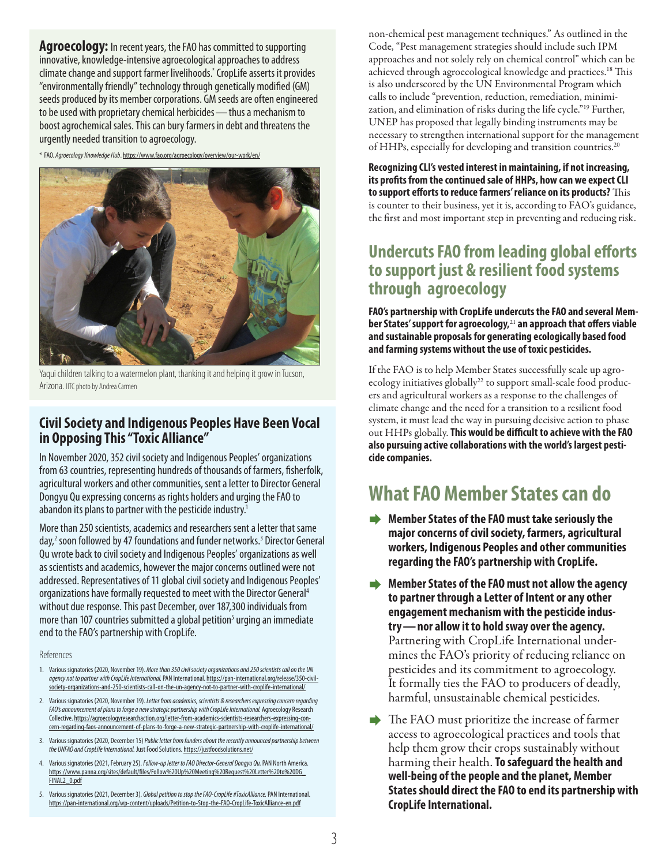<span id="page-2-0"></span>**Agroecology:** In recent years, the FAO has committed to supporting innovative, knowledge-intensive agroecological approaches to address climate change and support farmer livelihoods.\* CropLife asserts it provides "environmentally friendly" technology through genetically modified (GM) seeds produced by its member corporations. GM seeds are often engineered to be used with proprietary chemical herbicides — thus a mechanism to boost agrochemical sales. This can bury farmers in debt and threatens the urgently needed transition to agroecology.

\* FAO. *Agroecology Knowledge Hub*. <https://www.fao.org/agroecology/overview/our-work/en/>



Yaqui children talking to a watermelon plant, thanking it and helping it grow in Tucson, Arizona. IITC photo by Andrea Carmen

### **Civil Society and Indigenous Peoples Have Been Vocal in Opposing This "Toxic Alliance"**

In November 2020, 352 civil society and Indigenous Peoples' organizations from 63 countries, representing hundreds of thousands of farmers, fisherfolk, agricultural workers and other communities, sent a letter to Director General Dongyu Qu expressing concerns as rights holders and urging the FAO to abandon its plans to partner with the pesticide industry.<sup>1</sup>

More than 250 scientists, academics and researchers sent a letter that same day,<sup>2</sup> soon followed by 47 foundations and funder networks.<sup>3</sup> Director General Qu wrote back to civil society and Indigenous Peoples' organizations as well as scientists and academics, however the major concerns outlined were not addressed. Representatives of 11 global civil society and Indigenous Peoples' organizations have formally requested to meet with the Director General4 without due response. This past December, over 187,300 individuals from more than 107 countries submitted a global petition<sup>5</sup> urging an immediate end to the FAO's partnership with CropLife.

References

- 1. Various signatories (2020, November 19). *More than 350 civil society organizations and 250 scientists call on the UN agency not to partner with CropLife International.* PAN International. [https://pan-international.org/release/350-civil](https://pan-international.org/release/350-civil-society-organizations-and-250-scientists-call-on-the-un-agency-not-to-partner-with-croplife-international/)[society-organizations-and-250-scientists-call-on-the-un-agency-not-to-partner-with-croplife-international/](https://pan-international.org/release/350-civil-society-organizations-and-250-scientists-call-on-the-un-agency-not-to-partner-with-croplife-international/)
- 2. Various signatories (2020, November 19). *Letter from academics, scientists & researchers expressing concern regarding FAO's announcement of plans to forge a new strategic partnership with CropLife International.* Agroecology Research Collective. [https://agroecologyresearchaction.org/letter-from-academics-scientists-researchers-expressing-con](https://agroecologyresearchaction.org/letter-from-academics-scientists-researchers-expressing-concern-regarding-faos-announcement-of-plans-to-forge-a-new-strategic-partnership-with-croplife-international/)[cern-regarding-faos-announcement-of-plans-to-forge-a-new-strategic-partnership-with-croplife-international/](https://agroecologyresearchaction.org/letter-from-academics-scientists-researchers-expressing-concern-regarding-faos-announcement-of-plans-to-forge-a-new-strategic-partnership-with-croplife-international/)
- 3. Various signatories (2020, December 15) *Public letter from funders about the recently announced partnership between the UNFAO and CropLife International.* Just Food Solutions.<https://justfoodsolutions.net/>
- 4. Various signatories (2021, February 25). *Follow-up letter to FAO Director-General Dongyu Qu.* PAN North America. [https://www.panna.org/sites/default/files/Follow%20Up%20Meeting%20Request%20Letter%20to%20DG\\_](https://www.panna.org/sites/default/files/Follow%20Up%20Meeting%20Request%20Letter%20to%20DG_FINAL2_0.pdf) [FINAL2\\_0.pdf](https://www.panna.org/sites/default/files/Follow%20Up%20Meeting%20Request%20Letter%20to%20DG_FINAL2_0.pdf)
- 5. Various signatories (2021, December 3). *Global petition to stop the FAO-CropLife #ToxicAlliance.* PAN International. <https://pan-international.org/wp-content/uploads/Petition-to-Stop-the-FAO-CropLife-ToxicAlliance-en.pdf>

non-chemical pest management techniques." As outlined in the Code, "Pest management strategies should include such IPM approaches and not solely rely on chemical control" which can be achieved through agroecological knowledge and practices[.18](#page-3-0) This is also underscored by the UN Environmental Program which calls to include "prevention, reduction, remediation, minimization, and elimination of risks during the life cycle."[19](#page-3-0) Further, UNEP has proposed that legally binding instruments may be necessary to strengthen international support for the management of HHPs, especially for developing and transition countries.<sup>[20](#page-3-0)</sup>

#### **Recognizing CLI's vested interest in maintaining, if not increasing, its profits from the continued sale of HHPs, how can we expect CLI to support efforts to reduce farmers' reliance on its products?** This is counter to their business, yet it is, according to FAO's guidance, the first and most important step in preventing and reducing risk.

### **Undercuts FAO from leading global efforts to support just & resilient food systems through agroecology**

**FAO's partnership with CropLife undercuts the FAO and several Member States' support for agroecology,**[21](#page-3-0) **an approach that offers viable and sustainable proposals for generating ecologically based food and farming systems without the use of toxic pesticides.** 

If the FAO is to help Member States successfully scale up agroecology initiatives globally<sup>22</sup> to support small-scale food producers and agricultural workers as a response to the challenges of climate change and the need for a transition to a resilient food system, it must lead the way in pursuing decisive action to phase out HHPs globally. **This would be difficult to achieve with the FAO also pursuing active collaborations with the world's largest pesticide companies.**

# **What FAO Member States can do**

- **■** Member States of the FAO must take seriously the **major concerns of civil society, farmers, agricultural workers, Indigenous Peoples and other communities regarding the FAO's partnership with CropLife.**
- Æ **Member States of the FAO must not allow the agency to partner through a Letter of Intent or any other engagement mechanism with the pesticide industry — nor allow it to hold sway over the agency.**  Partnering with CropLife International undermines the FAO's priority of reducing reliance on pesticides and its commitment to agroecology. It formally ties the FAO to producers of deadly, harmful, unsustainable chemical pesticides.
- The FAO must prioritize the increase of farmer access to agroecological practices and tools that help them grow their crops sustainably without harming their health. **To safeguard the health and well-being of the people and the planet, Member States should direct the FAO to end its partnership with CropLife International.**